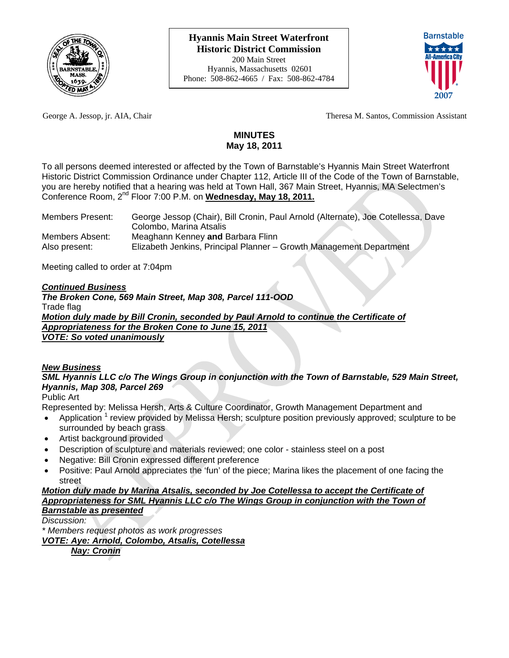



George A. Jessop, jr. AIA, Chair Theresa M. Santos, Commission Assistant

# **MINUTES May 18, 2011**

To all persons deemed interested or affected by the Town of Barnstable's Hyannis Main Street Waterfront Historic District Commission Ordinance under Chapter 112, Article III of the Code of the Town of Barnstable, you are hereby notified that a hearing was held at Town Hall, 367 Main Street, Hyannis, MA Selectmen's Conference Room, 2nd Floor 7:00 P.M. on **Wednesday, May 18, 2011.**

| <b>Members Present:</b> | George Jessop (Chair), Bill Cronin, Paul Arnold (Alternate), Joe Cotellessa, Dave |
|-------------------------|-----------------------------------------------------------------------------------|
|                         | Colombo, Marina Atsalis                                                           |
| Members Absent:         | Meaghann Kenney and Barbara Flinn                                                 |
| Also present:           | Elizabeth Jenkins, Principal Planner - Growth Management Department               |

Meeting called to order at 7:04pm

## *Continued Business*

*The Broken Cone, 569 Main Street, Map 308, Parcel 111-OOD*  Trade flag *Motion duly made by Bill Cronin, seconded by Paul Arnold to continue the Certificate of Appropriateness for the Broken Cone to June 15, 2011 VOTE: So voted unanimously*

#### *New Business*

*SML Hyannis LLC c/o The Wings Group in conjunction with the Town of Barnstable, 529 Main Street, Hyannis, Map 308, Parcel 269* 

Public Art

Represented by: Melissa Hersh, Arts & Culture Coordinator, Growth Management Department and

- Application  $1$  review provided by Melissa Hersh; sculpture position previously approved; sculpture to be surrounded by beach grass
- Artist background provided
- Description of sculpture and materials reviewed; one color stainless steel on a post
- Negative: Bill Cronin expressed different preference
- Positive: Paul Arnold appreciates the 'fun' of the piece; Marina likes the placement of one facing the street

## *Motion duly made by Marina Atsalis, seconded by Joe Cotellessa to accept the Certificate of Appropriateness for SML Hyannis LLC c/o The Wings Group in conjunction with the Town of Barnstable as presented*

*Discussion:* 

*\* Members request photos as work progresses VOTE: Aye: Arnold, Colombo, Atsalis, Cotellessa Nay: Cronin*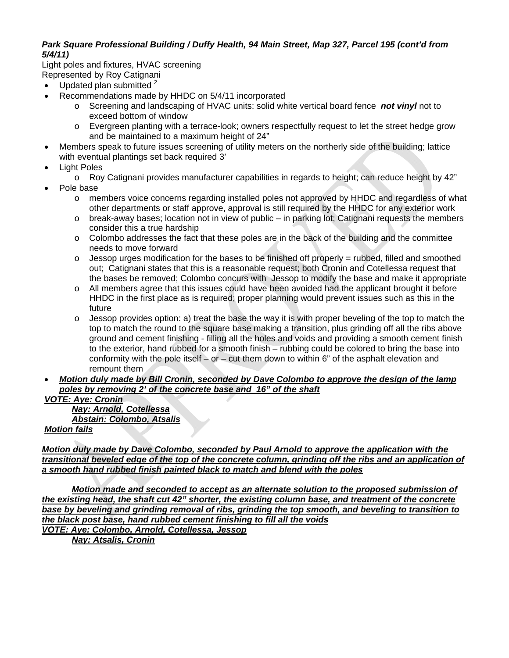## *Park Square Professional Building / Duffy Health, 94 Main Street, Map 327, Parcel 195 (cont'd from 5/4/11)*

Light poles and fixtures, HVAC screening Represented by Roy Catignani

- Updated plan submitted  $2^2$
- Recommendations made by HHDC on 5/4/11 incorporated
	- o Screening and landscaping of HVAC units: solid white vertical board fence *not vinyl* not to exceed bottom of window
	- o Evergreen planting with a terrace-look; owners respectfully request to let the street hedge grow and be maintained to a maximum height of 24"
- Members speak to future issues screening of utility meters on the northerly side of the building; lattice with eventual plantings set back required 3'
- Light Poles
	- $\circ$  Roy Catignani provides manufacturer capabilities in regards to height; can reduce height by 42"
- Pole base
	- o members voice concerns regarding installed poles not approved by HHDC and regardless of what other departments or staff approve, approval is still required by the HHDC for any exterior work
	- $\circ$  break-away bases; location not in view of public in parking lot; Catignani requests the members consider this a true hardship
	- $\circ$  Colombo addresses the fact that these poles are in the back of the building and the committee needs to move forward
	- $\circ$  Jessop urges modification for the bases to be finished off properly = rubbed, filled and smoothed out; Catignani states that this is a reasonable request; both Cronin and Cotellessa request that the bases be removed; Colombo concurs with Jessop to modify the base and make it appropriate
	- o All members agree that this issues could have been avoided had the applicant brought it before HHDC in the first place as is required; proper planning would prevent issues such as this in the future
	- $\circ$  Jessop provides option: a) treat the base the way it is with proper beveling of the top to match the top to match the round to the square base making a transition, plus grinding off all the ribs above ground and cement finishing - filling all the holes and voids and providing a smooth cement finish to the exterior, hand rubbed for a smooth finish – rubbing could be colored to bring the base into conformity with the pole itself – or – cut them down to within 6" of the asphalt elevation and remount them

## *Motion duly made by Bill Cronin, seconded by Dave Colombo to approve the design of the lamp poles by removing 2' of the concrete base and 16" of the shaft*

*VOTE: Aye: Cronin Nay: Arnold, Cotellessa Abstain: Colombo, Atsalis Motion fails*

*Motion duly made by Dave Colombo, seconded by Paul Arnold to approve the application with the transitional beveled edge of the top of the concrete column, grinding off the ribs and an application of a smooth hand rubbed finish painted black to match and blend with the poles*

*Motion made and seconded to accept as an alternate solution to the proposed submission of the existing head, the shaft cut 42" shorter, the existing column base, and treatment of the concrete base by beveling and grinding removal of ribs, grinding the top smooth, and beveling to transition to the black post base, hand rubbed cement finishing to fill all the voids VOTE: Aye: Colombo, Arnold, Cotellessa, Jessop*

 *Nay: Atsalis, Cronin*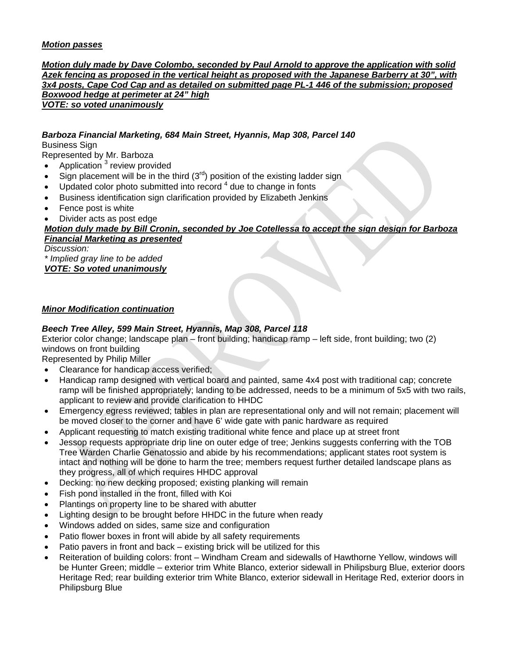## *Motion passes*

*Motion duly made by Dave Colombo, seconded by Paul Arnold to approve the application with solid Azek fencing as proposed in the vertical height as proposed with the Japanese Barberry at 30", with 3x4 posts, Cape Cod Cap and as detailed on submitted page PL-1 446 of the submission; proposed Boxwood hedge at perimeter at 24" high VOTE: so voted unanimously*

## *Barboza Financial Marketing, 684 Main Street, Hyannis, Map 308, Parcel 140*

Business Sign

Represented by Mr. Barboza

- Application  $3$  review provided
- Sign placement will be in the third  $(3<sup>rd</sup>)$  position of the existing ladder sign
- Updated color photo submitted into record  $4$  due to change in fonts
- Business identification sign clarification provided by Elizabeth Jenkins
- Fence post is white
- Divider acts as post edge

### *Motion duly made by Bill Cronin, seconded by Joe Cotellessa to accept the sign design for Barboza Financial Marketing as presented*

*Discussion:* 

*\* Implied gray line to be added VOTE: So voted unanimously*

#### *Minor Modification continuation*

### *Beech Tree Alley, 599 Main Street, Hyannis, Map 308, Parcel 118*

Exterior color change; landscape plan – front building; handicap ramp – left side, front building; two (2) windows on front building

Represented by Philip Miller

- Clearance for handicap access verified;
- Handicap ramp designed with vertical board and painted, same 4x4 post with traditional cap; concrete ramp will be finished appropriately; landing to be addressed, needs to be a minimum of 5x5 with two rails, applicant to review and provide clarification to HHDC
- Emergency egress reviewed; tables in plan are representational only and will not remain; placement will be moved closer to the corner and have 6' wide gate with panic hardware as required
- Applicant requesting to match existing traditional white fence and place up at street front
- Jessop requests appropriate drip line on outer edge of tree; Jenkins suggests conferring with the TOB Tree Warden Charlie Genatossio and abide by his recommendations; applicant states root system is intact and nothing will be done to harm the tree; members request further detailed landscape plans as they progress, all of which requires HHDC approval
- Decking: no new decking proposed; existing planking will remain
- Fish pond installed in the front, filled with Koi
- Plantings on property line to be shared with abutter
- Lighting design to be brought before HHDC in the future when ready
- Windows added on sides, same size and configuration
- Patio flower boxes in front will abide by all safety requirements
- Patio pavers in front and back existing brick will be utilized for this
- Reiteration of building colors: front Windham Cream and sidewalls of Hawthorne Yellow, windows will be Hunter Green; middle – exterior trim White Blanco, exterior sidewall in Philipsburg Blue, exterior doors Heritage Red; rear building exterior trim White Blanco, exterior sidewall in Heritage Red, exterior doors in Philipsburg Blue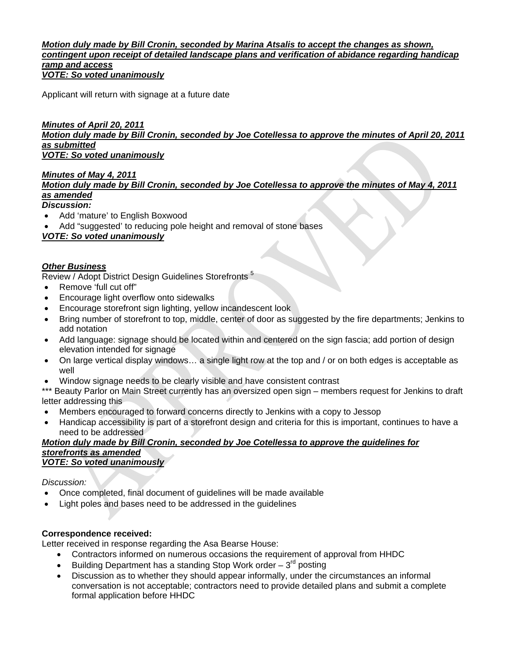#### *Motion duly made by Bill Cronin, seconded by Marina Atsalis to accept the changes as shown, contingent upon receipt of detailed landscape plans and verification of abidance regarding handicap ramp and access VOTE: So voted unanimously*

Applicant will return with signage at a future date

## *Minutes of April 20, 2011*

*Motion duly made by Bill Cronin, seconded by Joe Cotellessa to approve the minutes of April 20, 2011 as submitted*

*VOTE: So voted unanimously*

# *Minutes of May 4, 2011*

## *Motion duly made by Bill Cronin, seconded by Joe Cotellessa to approve the minutes of May 4, 2011 as amended*

## *Discussion:*

- Add 'mature' to English Boxwood
- Add "suggested' to reducing pole height and removal of stone bases

# *VOTE: So voted unanimously*

## *Other Business*

Review / Adopt District Design Guidelines Storefronts<sup>5</sup>

- Remove 'full cut off"
- Encourage light overflow onto sidewalks
- Encourage storefront sign lighting, yellow incandescent look
- Bring number of storefront to top, middle, center of door as suggested by the fire departments; Jenkins to add notation
- Add language: signage should be located within and centered on the sign fascia; add portion of design elevation intended for signage
- On large vertical display windows… a single light row at the top and / or on both edges is acceptable as well
- Window signage needs to be clearly visible and have consistent contrast

\*\*\* Beauty Parlor on Main Street currently has an oversized open sign – members request for Jenkins to draft letter addressing this

- Members encouraged to forward concerns directly to Jenkins with a copy to Jessop
- Handicap accessibility is part of a storefront design and criteria for this is important, continues to have a need to be addressed

#### *Motion duly made by Bill Cronin, seconded by Joe Cotellessa to approve the guidelines for storefronts as amended VOTE: So voted unanimously*

#### *Discussion:*

- Once completed, final document of guidelines will be made available
- Light poles and bases need to be addressed in the guidelines

## **Correspondence received:**

Letter received in response regarding the Asa Bearse House:

- Contractors informed on numerous occasions the requirement of approval from HHDC
- **•** Building Department has a standing Stop Work order  $-3^{rd}$  posting
- Discussion as to whether they should appear informally, under the circumstances an informal conversation is not acceptable; contractors need to provide detailed plans and submit a complete formal application before HHDC